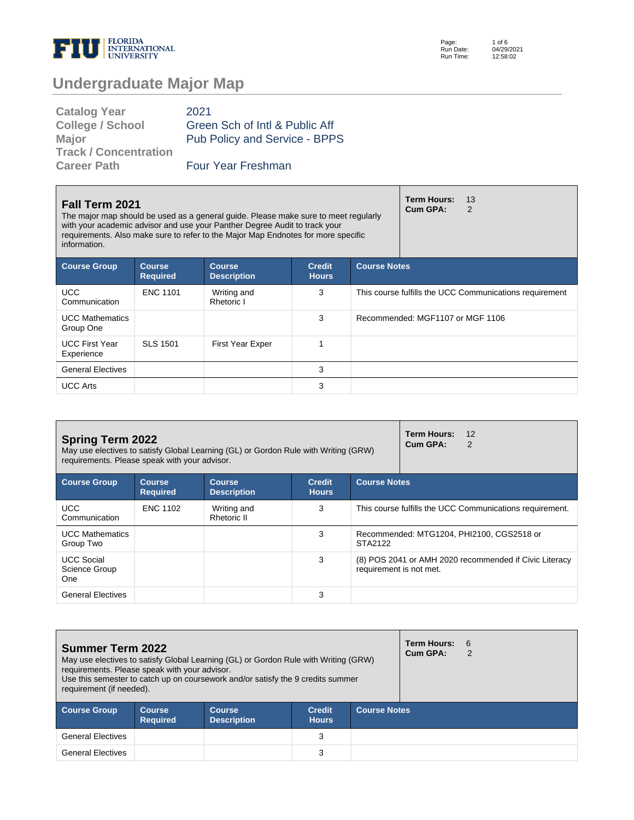

| <b>Catalog Year</b>          | 2021                           |
|------------------------------|--------------------------------|
| <b>College / School</b>      | Green Sch of Intl & Public Aff |
| <b>Major</b>                 | Pub Policy and Service - BPPS  |
| <b>Track / Concentration</b> |                                |
| <b>Career Path</b>           | Four Year Freshman             |

| Fall Term 2021<br>The major map should be used as a general guide. Please make sure to meet regularly<br>with your academic advisor and use your Panther Degree Audit to track your<br>requirements. Also make sure to refer to the Major Map Endnotes for more specific<br>information. |                                  |                                     |                               |                                                         | <b>Term Hours:</b><br>13<br>Cum GPA:<br>2 |  |
|------------------------------------------------------------------------------------------------------------------------------------------------------------------------------------------------------------------------------------------------------------------------------------------|----------------------------------|-------------------------------------|-------------------------------|---------------------------------------------------------|-------------------------------------------|--|
| <b>Course Group</b>                                                                                                                                                                                                                                                                      | <b>Course</b><br><b>Required</b> | <b>Course</b><br><b>Description</b> | <b>Credit</b><br><b>Hours</b> | <b>Course Notes</b>                                     |                                           |  |
| <b>UCC</b><br>Communication                                                                                                                                                                                                                                                              | <b>ENC 1101</b>                  | Writing and<br>Rhetoric I           | 3                             | This course fulfills the UCC Communications requirement |                                           |  |
| <b>UCC Mathematics</b><br>Group One                                                                                                                                                                                                                                                      |                                  |                                     | 3                             |                                                         | Recommended: MGF1107 or MGF 1106          |  |
| <b>UCC First Year</b><br>Experience                                                                                                                                                                                                                                                      | SLS 1501                         | <b>First Year Exper</b>             | 4                             |                                                         |                                           |  |
| <b>General Electives</b>                                                                                                                                                                                                                                                                 |                                  |                                     | 3                             |                                                         |                                           |  |
| <b>UCC Arts</b>                                                                                                                                                                                                                                                                          |                                  |                                     | 3                             |                                                         |                                           |  |

| <b>Spring Term 2022</b><br>May use electives to satisfy Global Learning (GL) or Gordon Rule with Writing (GRW)<br>requirements. Please speak with your advisor. |                                  |                                     |                               |                         | <b>Term Hours:</b><br>12<br>Cum GPA:<br>2                |  |
|-----------------------------------------------------------------------------------------------------------------------------------------------------------------|----------------------------------|-------------------------------------|-------------------------------|-------------------------|----------------------------------------------------------|--|
| <b>Course Group</b>                                                                                                                                             | <b>Course</b><br><b>Required</b> | <b>Course</b><br><b>Description</b> | <b>Credit</b><br><b>Hours</b> | <b>Course Notes</b>     |                                                          |  |
| <b>UCC</b><br>Communication                                                                                                                                     | <b>ENC 1102</b>                  | Writing and<br>Rhetoric II          | 3                             |                         | This course fulfills the UCC Communications requirement. |  |
| <b>UCC Mathematics</b><br>Group Two                                                                                                                             |                                  |                                     | 3                             | STA2122                 | Recommended: MTG1204, PHI2100, CGS2518 or                |  |
| <b>UCC Social</b><br>Science Group<br>One                                                                                                                       |                                  |                                     | 3                             | requirement is not met. | (8) POS 2041 or AMH 2020 recommended if Civic Literacy   |  |
| <b>General Electives</b>                                                                                                                                        |                                  |                                     | 3                             |                         |                                                          |  |

| <b>Summer Term 2022</b><br>May use electives to satisfy Global Learning (GL) or Gordon Rule with Writing (GRW)<br>requirements. Please speak with your advisor.<br>Use this semester to catch up on coursework and/or satisfy the 9 credits summer<br>requirement (if needed). |                                  |                                     |                               |                     | Term Hours: 6<br>Cum GPA: |  |
|--------------------------------------------------------------------------------------------------------------------------------------------------------------------------------------------------------------------------------------------------------------------------------|----------------------------------|-------------------------------------|-------------------------------|---------------------|---------------------------|--|
| <b>Course Group</b>                                                                                                                                                                                                                                                            | <b>Course</b><br><b>Required</b> | <b>Course</b><br><b>Description</b> | <b>Credit</b><br><b>Hours</b> | <b>Course Notes</b> |                           |  |
| <b>General Electives</b>                                                                                                                                                                                                                                                       |                                  |                                     | 3                             |                     |                           |  |
| <b>General Electives</b>                                                                                                                                                                                                                                                       |                                  |                                     | 3                             |                     |                           |  |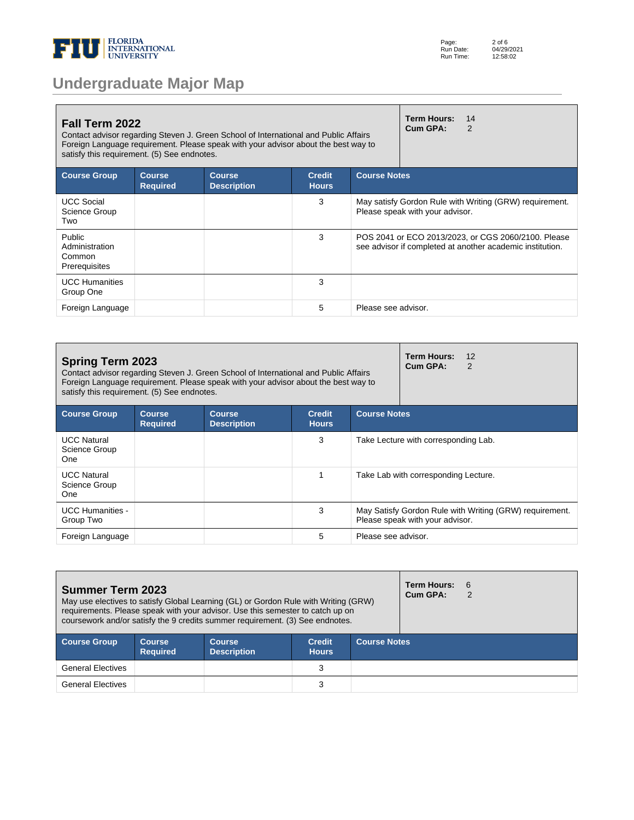

|  |  | <b>Undergraduate Major Map</b> |  |
|--|--|--------------------------------|--|
|  |  |                                |  |

| Fall Term 2022<br>Contact advisor regarding Steven J. Green School of International and Public Affairs<br>Foreign Language requirement. Please speak with your advisor about the best way to<br>satisfy this requirement. (5) See endnotes. |                                  |                                     |                               |                     | <b>Term Hours:</b><br>Cum GPA:  | 14<br>2                                                                                                          |
|---------------------------------------------------------------------------------------------------------------------------------------------------------------------------------------------------------------------------------------------|----------------------------------|-------------------------------------|-------------------------------|---------------------|---------------------------------|------------------------------------------------------------------------------------------------------------------|
| <b>Course Group</b>                                                                                                                                                                                                                         | <b>Course</b><br><b>Required</b> | <b>Course</b><br><b>Description</b> | <b>Credit</b><br><b>Hours</b> | <b>Course Notes</b> |                                 |                                                                                                                  |
| <b>UCC Social</b><br>Science Group<br>Two                                                                                                                                                                                                   |                                  |                                     | 3                             |                     | Please speak with your advisor. | May satisfy Gordon Rule with Writing (GRW) requirement.                                                          |
| Public<br>Administration<br>Common<br>Prerequisites                                                                                                                                                                                         |                                  |                                     | 3                             |                     |                                 | POS 2041 or ECO 2013/2023, or CGS 2060/2100. Please<br>see advisor if completed at another academic institution. |
| <b>UCC Humanities</b><br>Group One                                                                                                                                                                                                          |                                  |                                     | 3                             |                     |                                 |                                                                                                                  |
| Foreign Language                                                                                                                                                                                                                            |                                  |                                     | 5                             | Please see advisor. |                                 |                                                                                                                  |

| <b>Spring Term 2023</b><br>Contact advisor regarding Steven J. Green School of International and Public Affairs<br>Foreign Language requirement. Please speak with your advisor about the best way to<br>satisfy this requirement. (5) See endnotes. |                                  |                                     |                               |                     | Term Hours:<br>12<br>Cum GPA:<br>$\mathcal{P}$                                             |
|------------------------------------------------------------------------------------------------------------------------------------------------------------------------------------------------------------------------------------------------------|----------------------------------|-------------------------------------|-------------------------------|---------------------|--------------------------------------------------------------------------------------------|
| <b>Course Group</b>                                                                                                                                                                                                                                  | <b>Course</b><br><b>Required</b> | <b>Course</b><br><b>Description</b> | <b>Credit</b><br><b>Hours</b> | <b>Course Notes</b> |                                                                                            |
| <b>UCC Natural</b><br>Science Group<br>One                                                                                                                                                                                                           |                                  |                                     | 3                             |                     | Take Lecture with corresponding Lab.                                                       |
| <b>UCC Natural</b><br>Science Group<br>One                                                                                                                                                                                                           |                                  |                                     |                               |                     | Take Lab with corresponding Lecture.                                                       |
| <b>UCC Humanities -</b><br>Group Two                                                                                                                                                                                                                 |                                  |                                     | 3                             |                     | May Satisfy Gordon Rule with Writing (GRW) requirement.<br>Please speak with your advisor. |
| Foreign Language                                                                                                                                                                                                                                     |                                  |                                     | 5                             | Please see advisor. |                                                                                            |

| <b>Summer Term 2023</b><br>May use electives to satisfy Global Learning (GL) or Gordon Rule with Writing (GRW)<br>requirements. Please speak with your advisor. Use this semester to catch up on<br>coursework and/or satisfy the 9 credits summer requirement. (3) See endnotes. |                                  |                                     |                               |                     | <b>Term Hours:</b><br>Cum GPA: | 6<br>2 |
|-----------------------------------------------------------------------------------------------------------------------------------------------------------------------------------------------------------------------------------------------------------------------------------|----------------------------------|-------------------------------------|-------------------------------|---------------------|--------------------------------|--------|
| <b>Course Group</b>                                                                                                                                                                                                                                                               | <b>Course</b><br><b>Required</b> | <b>Course</b><br><b>Description</b> | <b>Credit</b><br><b>Hours</b> | <b>Course Notes</b> |                                |        |
| <b>General Electives</b>                                                                                                                                                                                                                                                          |                                  |                                     | 3                             |                     |                                |        |
| <b>General Electives</b>                                                                                                                                                                                                                                                          |                                  |                                     | 3                             |                     |                                |        |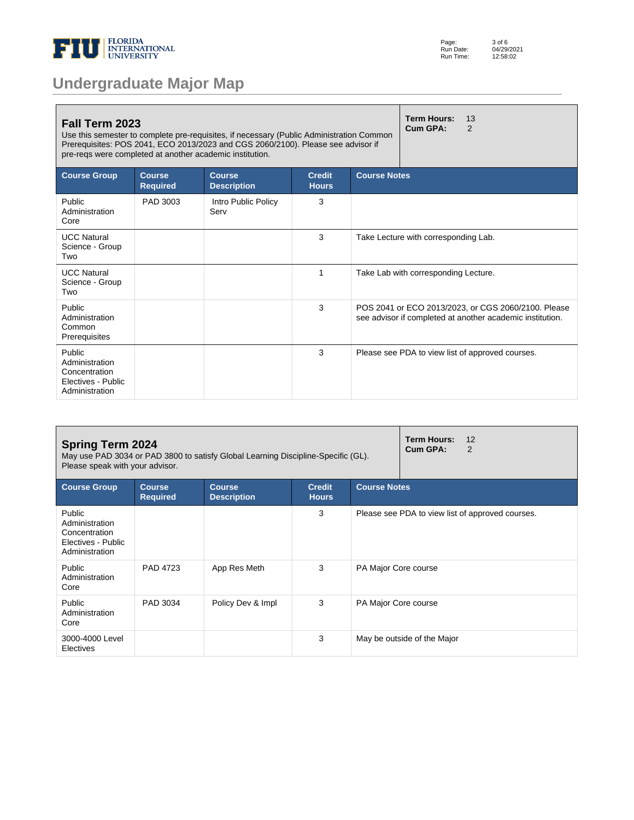

|  |  | <b>Undergraduate Major Map</b> |  |
|--|--|--------------------------------|--|
|  |  |                                |  |

| Fall Term 2023<br>Use this semester to complete pre-requisites, if necessary (Public Administration Common<br>Prerequisites: POS 2041, ECO 2013/2023 and CGS 2060/2100). Please see advisor if<br>pre-regs were completed at another academic institution. |                                  | <b>Term Hours:</b><br>13<br>Cum GPA:<br>$\mathcal{P}$ |                               |                                                                                                                  |
|------------------------------------------------------------------------------------------------------------------------------------------------------------------------------------------------------------------------------------------------------------|----------------------------------|-------------------------------------------------------|-------------------------------|------------------------------------------------------------------------------------------------------------------|
| <b>Course Group</b>                                                                                                                                                                                                                                        | <b>Course</b><br><b>Required</b> | <b>Course</b><br><b>Description</b>                   | <b>Credit</b><br><b>Hours</b> | <b>Course Notes</b>                                                                                              |
| Public<br>Administration<br>Core                                                                                                                                                                                                                           | PAD 3003                         | Intro Public Policy<br>Serv                           | 3                             |                                                                                                                  |
| <b>UCC Natural</b><br>Science - Group<br>Two                                                                                                                                                                                                               |                                  |                                                       | 3                             | Take Lecture with corresponding Lab.                                                                             |
| <b>UCC Natural</b><br>Science - Group<br>Two                                                                                                                                                                                                               |                                  |                                                       | 1                             | Take Lab with corresponding Lecture.                                                                             |
| Public<br>Administration<br>Common<br>Prerequisites                                                                                                                                                                                                        |                                  |                                                       | 3                             | POS 2041 or ECO 2013/2023, or CGS 2060/2100. Please<br>see advisor if completed at another academic institution. |
| Public<br>Administration<br>Concentration<br>Electives - Public<br>Administration                                                                                                                                                                          |                                  |                                                       | 3                             | Please see PDA to view list of approved courses.                                                                 |

| <b>Spring Term 2024</b><br>May use PAD 3034 or PAD 3800 to satisfy Global Learning Discipline-Specific (GL).<br>Please speak with your advisor. |                                  |                                     |                               |                      | <b>Term Hours:</b><br>12<br>Cum GPA:<br>2        |  |
|-------------------------------------------------------------------------------------------------------------------------------------------------|----------------------------------|-------------------------------------|-------------------------------|----------------------|--------------------------------------------------|--|
| <b>Course Group</b>                                                                                                                             | <b>Course</b><br><b>Required</b> | <b>Course</b><br><b>Description</b> | <b>Credit</b><br><b>Hours</b> | <b>Course Notes</b>  |                                                  |  |
| Public<br>Administration<br>Concentration<br>Electives - Public<br>Administration                                                               |                                  |                                     | 3                             |                      | Please see PDA to view list of approved courses. |  |
| Public<br>Administration<br>Core                                                                                                                | PAD 4723                         | App Res Meth                        | 3                             | PA Major Core course |                                                  |  |
| Public<br>Administration<br>Core                                                                                                                | PAD 3034                         | Policy Dev & Impl                   | 3                             | PA Major Core course |                                                  |  |
| 3000-4000 Level<br>Electives                                                                                                                    |                                  |                                     | 3                             |                      | May be outside of the Major                      |  |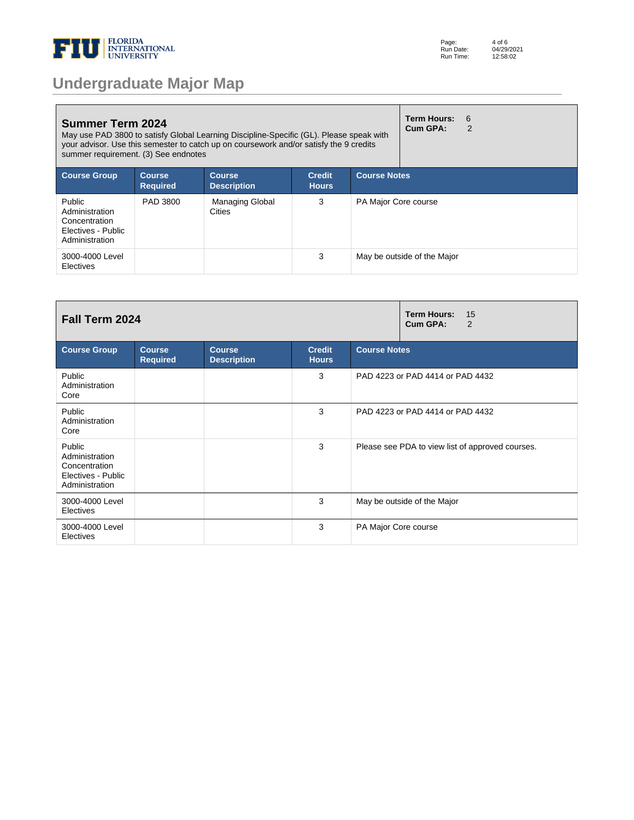

| Page:     | 4 of 6     |
|-----------|------------|
| Run Date: | 04/29/2021 |
| Run Time: | 12:58:02   |

| <b>Summer Term 2024</b><br>summer requirement. (3) See endnotes                   |                                  | May use PAD 3800 to satisfy Global Learning Discipline-Specific (GL). Please speak with<br>your advisor. Use this semester to catch up on coursework and/or satisfy the 9 credits |                               |                      | <b>Term Hours:</b><br>Cum GPA: | 6<br>$\overline{2}$ |
|-----------------------------------------------------------------------------------|----------------------------------|-----------------------------------------------------------------------------------------------------------------------------------------------------------------------------------|-------------------------------|----------------------|--------------------------------|---------------------|
| <b>Course Group</b>                                                               | <b>Course</b><br><b>Required</b> | <b>Course</b><br><b>Description</b>                                                                                                                                               | <b>Credit</b><br><b>Hours</b> | <b>Course Notes</b>  |                                |                     |
| Public<br>Administration<br>Concentration<br>Electives - Public<br>Administration | PAD 3800                         | Managing Global<br><b>Cities</b>                                                                                                                                                  | 3                             | PA Major Core course |                                |                     |
| 3000-4000 Level<br>Electives                                                      |                                  |                                                                                                                                                                                   | 3                             |                      | May be outside of the Major    |                     |

| Fall Term 2024                                                                    |                                  |                                     |                               | <b>Term Hours:</b><br>15<br>Cum GPA:<br>2        |  |
|-----------------------------------------------------------------------------------|----------------------------------|-------------------------------------|-------------------------------|--------------------------------------------------|--|
| <b>Course Group</b>                                                               | <b>Course</b><br><b>Required</b> | <b>Course</b><br><b>Description</b> | <b>Credit</b><br><b>Hours</b> | <b>Course Notes</b>                              |  |
| Public<br>Administration<br>Core                                                  |                                  |                                     | 3                             | PAD 4223 or PAD 4414 or PAD 4432                 |  |
| Public<br>Administration<br>Core                                                  |                                  |                                     | 3                             | PAD 4223 or PAD 4414 or PAD 4432                 |  |
| Public<br>Administration<br>Concentration<br>Electives - Public<br>Administration |                                  |                                     | 3                             | Please see PDA to view list of approved courses. |  |
| 3000-4000 Level<br>Electives                                                      |                                  |                                     | 3                             | May be outside of the Major                      |  |
| 3000-4000 Level<br>Electives                                                      |                                  |                                     | 3                             | PA Major Core course                             |  |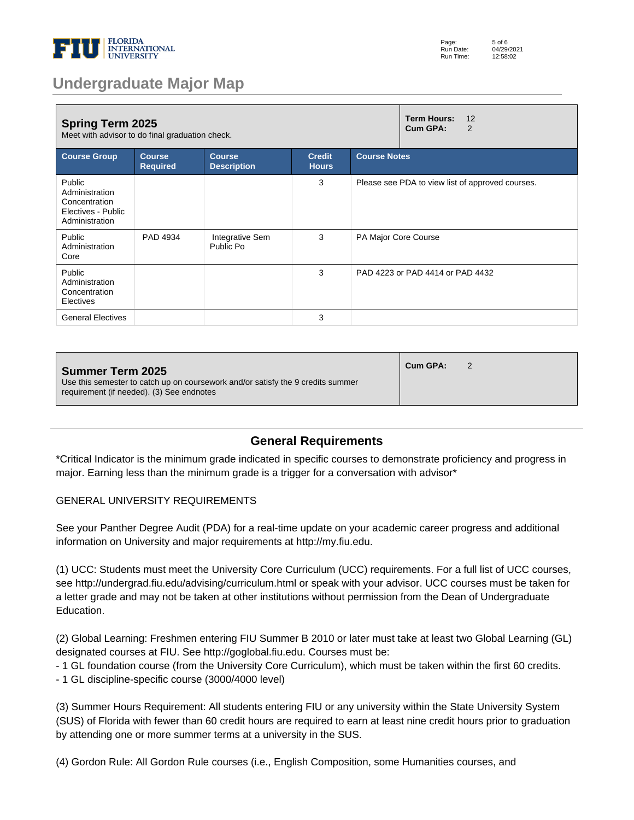

| <b>Spring Term 2025</b><br>Meet with advisor to do final graduation check.        |                                  |                                     |                               | <b>Term Hours:</b><br>12<br>Cum GPA:<br>2        |
|-----------------------------------------------------------------------------------|----------------------------------|-------------------------------------|-------------------------------|--------------------------------------------------|
| <b>Course Group</b>                                                               | <b>Course</b><br><b>Required</b> | <b>Course</b><br><b>Description</b> | <b>Credit</b><br><b>Hours</b> | <b>Course Notes</b>                              |
| Public<br>Administration<br>Concentration<br>Electives - Public<br>Administration |                                  |                                     | 3                             | Please see PDA to view list of approved courses. |
| Public<br>Administration<br>Core                                                  | PAD 4934                         | Integrative Sem<br>Public Po        | 3                             | PA Major Core Course                             |
| Public<br>Administration<br>Concentration<br>Electives                            |                                  |                                     | 3                             | PAD 4223 or PAD 4414 or PAD 4432                 |
| <b>General Electives</b>                                                          |                                  |                                     | 3                             |                                                  |

| Cum GPA:<br><b>Summer Term 2025</b><br>Use this semester to catch up on coursework and/or satisfy the 9 credits summer<br>requirement (if needed). (3) See endnotes |
|---------------------------------------------------------------------------------------------------------------------------------------------------------------------|
|---------------------------------------------------------------------------------------------------------------------------------------------------------------------|

### **General Requirements**

\*Critical Indicator is the minimum grade indicated in specific courses to demonstrate proficiency and progress in major. Earning less than the minimum grade is a trigger for a conversation with advisor\*

#### GENERAL UNIVERSITY REQUIREMENTS

See your Panther Degree Audit (PDA) for a real-time update on your academic career progress and additional information on University and major requirements at http://my.fiu.edu.

(1) UCC: Students must meet the University Core Curriculum (UCC) requirements. For a full list of UCC courses, see http://undergrad.fiu.edu/advising/curriculum.html or speak with your advisor. UCC courses must be taken for a letter grade and may not be taken at other institutions without permission from the Dean of Undergraduate Education.

(2) Global Learning: Freshmen entering FIU Summer B 2010 or later must take at least two Global Learning (GL) designated courses at FIU. See http://goglobal.fiu.edu. Courses must be:

- 1 GL foundation course (from the University Core Curriculum), which must be taken within the first 60 credits.

- 1 GL discipline-specific course (3000/4000 level)

(3) Summer Hours Requirement: All students entering FIU or any university within the State University System (SUS) of Florida with fewer than 60 credit hours are required to earn at least nine credit hours prior to graduation by attending one or more summer terms at a university in the SUS.

(4) Gordon Rule: All Gordon Rule courses (i.e., English Composition, some Humanities courses, and